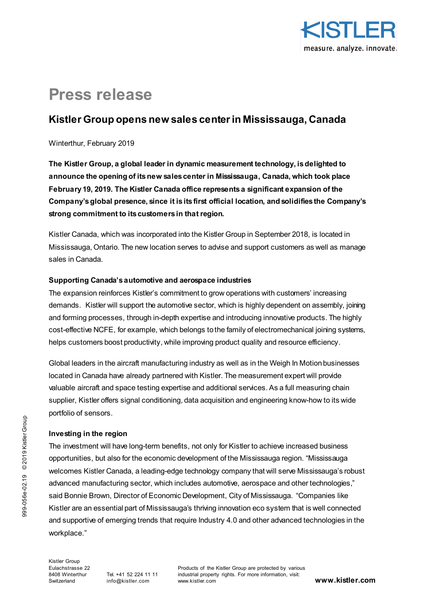

# **Press release**

## **Kistler Group opens new sales center in Mississauga, Canada**

#### Winterthur, February 2019

**The Kistler Group, a global leader in dynamic measurement technology, is delighted to announce the opening of its new sales center in Mississauga, Canada, which took place February 19, 2019. The Kistler Canada office represents a significant expansion of the Company's global presence, since it is its first official location, and solidifies the Company's strong commitment to its customers in that region.** 

Kistler Canada, which was incorporated into the Kistler Group in September 2018, is located in Mississauga, Ontario. The new location serves to advise and support customers as well as manage sales in Canada.

### **Supporting Canada's automotive and aerospace industries**

The expansion reinforces Kistler's commitment to grow operations with customers' increasing demands. Kistler will support the automotive sector, which is highly dependent on assembly, joining and forming processes, through in-depth expertise and introducing innovative products. The highly cost-effective NCFE, for example, which belongs to the family of electromechanical joining systems, helps customers boost productivity, while improving product quality and resource efficiency.

Global leaders in the aircraft manufacturing industry as well as in the Weigh In Motion businesses located in Canada have already partnered with Kistler. The measurement expert will provide valuable aircraft and space testing expertise and additional services. As a full measuring chain supplier, Kistler offers signal conditioning, data acquisition and engineering know-how to its wide portfolio of sensors.

## **Investing in the region**

The investment will have long-term benefits, not only for Kistler to achieve increased business opportunities, but also for the economic development of the Mississauga region. "Mississauga welcomes Kistler Canada, a leading-edge technology company that will serve Mississauga's robust advanced manufacturing sector, which includes automotive, aerospace and other technologies," said Bonnie Brown, Director of Economic Development, City of Mississauga. "Companies like Kistler are an essential part of Mississauga's thriving innovation eco system that is well connected and supportive of emerging trends that require Industry 4.0 and other advanced technologies in the workplace."

Products of the Kistler Group are protected by various industrial property rights. For more information, visit: www.kistler.com